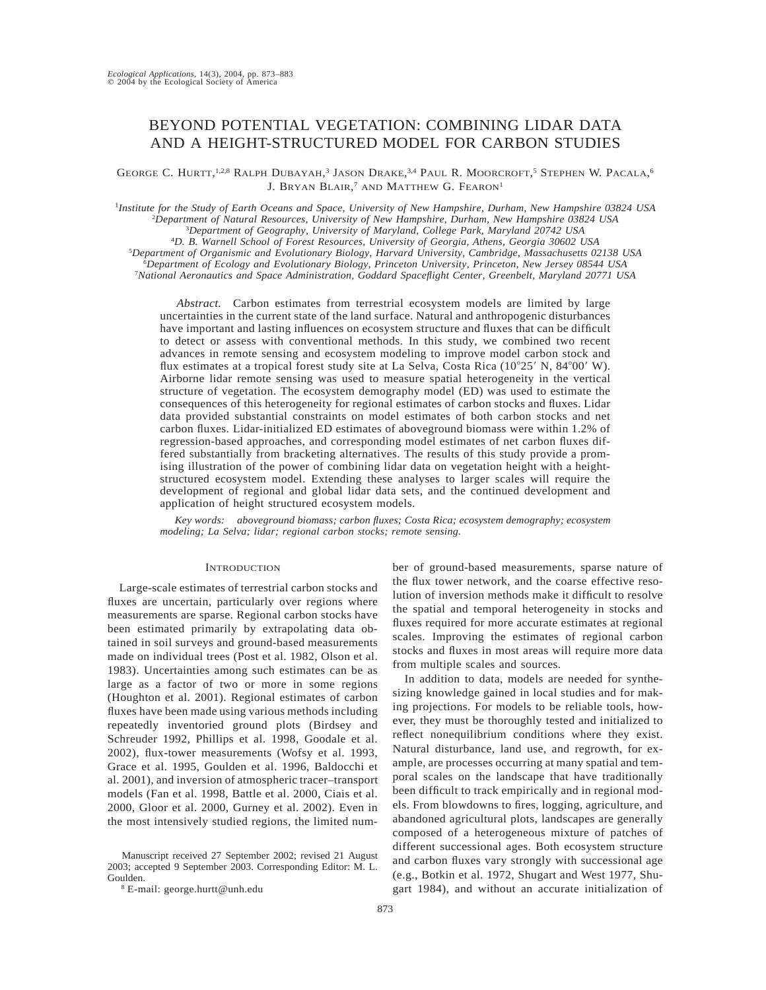# BEYOND POTENTIAL VEGETATION: COMBINING LIDAR DATA AND A HEIGHT-STRUCTURED MODEL FOR CARBON STUDIES

GEORGE C. HURTT,<sup>1,2,8</sup> Ralph Dubayah,<sup>3</sup> Jason Drake,<sup>3,4</sup> Paul R. Moorcroft,<sup>5</sup> Stephen W. Pacala,<sup>6</sup> J. Bryan Blair,<sup>7</sup> and Matthew G. Fearon<sup>1</sup>

 *Institute for the Study of Earth Oceans and Space, University of New Hampshire, Durham, New Hampshire 03824 USA Department of Natural Resources, University of New Hampshire, Durham, New Hampshire 03824 USA Department of Geography, University of Maryland, College Park, Maryland 20742 USA D. B. Warnell School of Forest Resources, University of Georgia, Athens, Georgia 30602 USA Department of Organismic and Evolutionary Biology, Harvard University, Cambridge, Massachusetts 02138 USA*

6 *Department of Ecology and Evolutionary Biology, Princeton University, Princeton, New Jersey 08544 USA* 7 *National Aeronautics and Space Administration, Goddard Spaceflight Center, Greenbelt, Maryland 20771 USA*

*Abstract.* Carbon estimates from terrestrial ecosystem models are limited by large uncertainties in the current state of the land surface. Natural and anthropogenic disturbances have important and lasting influences on ecosystem structure and fluxes that can be difficult to detect or assess with conventional methods. In this study, we combined two recent advances in remote sensing and ecosystem modeling to improve model carbon stock and flux estimates at a tropical forest study site at La Selva, Costa Rica  $(10^{\circ}25' \text{ N}, 84^{\circ}00' \text{ W})$ . Airborne lidar remote sensing was used to measure spatial heterogeneity in the vertical structure of vegetation. The ecosystem demography model (ED) was used to estimate the consequences of this heterogeneity for regional estimates of carbon stocks and fluxes. Lidar data provided substantial constraints on model estimates of both carbon stocks and net carbon fluxes. Lidar-initialized ED estimates of aboveground biomass were within 1.2% of regression-based approaches, and corresponding model estimates of net carbon fluxes differed substantially from bracketing alternatives. The results of this study provide a promising illustration of the power of combining lidar data on vegetation height with a heightstructured ecosystem model. Extending these analyses to larger scales will require the development of regional and global lidar data sets, and the continued development and application of height structured ecosystem models.

*Key words: aboveground biomass; carbon fluxes; Costa Rica; ecosystem demography; ecosystem modeling; La Selva; lidar; regional carbon stocks; remote sensing.*

## INTRODUCTION

Large-scale estimates of terrestrial carbon stocks and fluxes are uncertain, particularly over regions where measurements are sparse. Regional carbon stocks have been estimated primarily by extrapolating data obtained in soil surveys and ground-based measurements made on individual trees (Post et al. 1982, Olson et al. 1983). Uncertainties among such estimates can be as large as a factor of two or more in some regions (Houghton et al. 2001). Regional estimates of carbon fluxes have been made using various methods including repeatedly inventoried ground plots (Birdsey and Schreuder 1992, Phillips et al. 1998, Goodale et al. 2002), flux-tower measurements (Wofsy et al. 1993, Grace et al. 1995, Goulden et al. 1996, Baldocchi et al. 2001), and inversion of atmospheric tracer–transport models (Fan et al. 1998, Battle et al. 2000, Ciais et al. 2000, Gloor et al. 2000, Gurney et al. 2002). Even in the most intensively studied regions, the limited num-

Manuscript received 27 September 2002; revised 21 August 2003; accepted 9 September 2003. Corresponding Editor: M. L. Goulden.

<sup>8</sup> E-mail: george.hurtt@unh.edu

ber of ground-based measurements, sparse nature of the flux tower network, and the coarse effective resolution of inversion methods make it difficult to resolve the spatial and temporal heterogeneity in stocks and fluxes required for more accurate estimates at regional scales. Improving the estimates of regional carbon stocks and fluxes in most areas will require more data from multiple scales and sources.

In addition to data, models are needed for synthesizing knowledge gained in local studies and for making projections. For models to be reliable tools, however, they must be thoroughly tested and initialized to reflect nonequilibrium conditions where they exist. Natural disturbance, land use, and regrowth, for example, are processes occurring at many spatial and temporal scales on the landscape that have traditionally been difficult to track empirically and in regional models. From blowdowns to fires, logging, agriculture, and abandoned agricultural plots, landscapes are generally composed of a heterogeneous mixture of patches of different successional ages. Both ecosystem structure and carbon fluxes vary strongly with successional age (e.g., Botkin et al. 1972, Shugart and West 1977, Shugart 1984), and without an accurate initialization of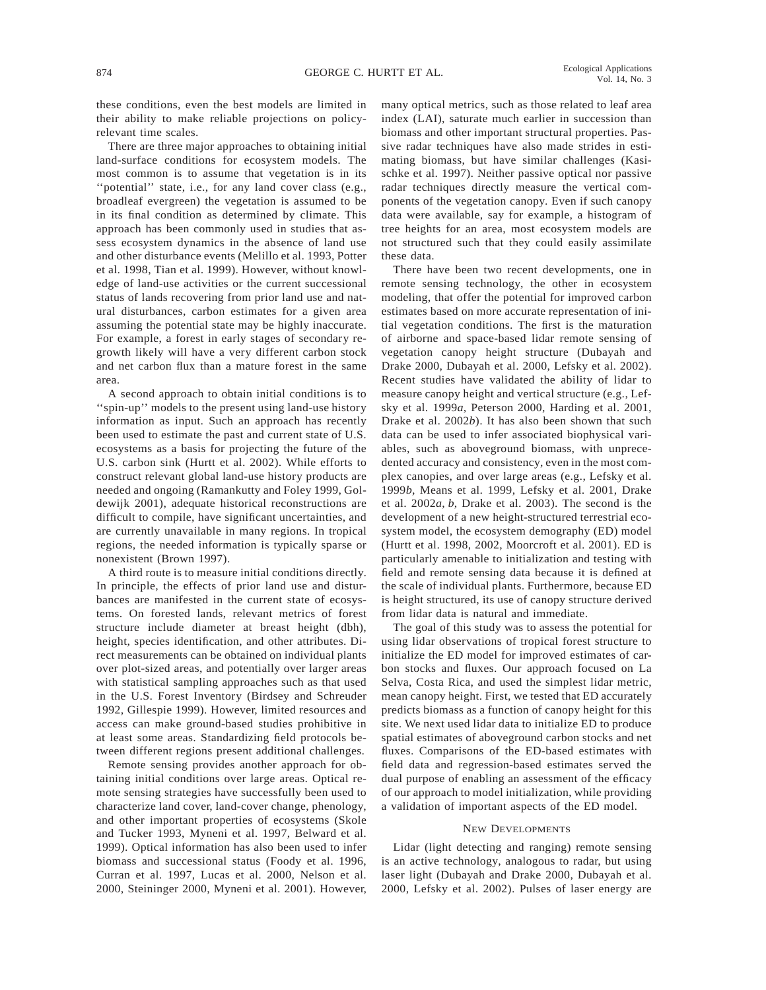these conditions, even the best models are limited in their ability to make reliable projections on policyrelevant time scales.

There are three major approaches to obtaining initial land-surface conditions for ecosystem models. The most common is to assume that vegetation is in its ''potential'' state, i.e., for any land cover class (e.g., broadleaf evergreen) the vegetation is assumed to be in its final condition as determined by climate. This approach has been commonly used in studies that assess ecosystem dynamics in the absence of land use and other disturbance events (Melillo et al. 1993, Potter et al. 1998, Tian et al. 1999). However, without knowledge of land-use activities or the current successional status of lands recovering from prior land use and natural disturbances, carbon estimates for a given area assuming the potential state may be highly inaccurate. For example, a forest in early stages of secondary regrowth likely will have a very different carbon stock and net carbon flux than a mature forest in the same area.

A second approach to obtain initial conditions is to ''spin-up'' models to the present using land-use history information as input. Such an approach has recently been used to estimate the past and current state of U.S. ecosystems as a basis for projecting the future of the U.S. carbon sink (Hurtt et al. 2002). While efforts to construct relevant global land-use history products are needed and ongoing (Ramankutty and Foley 1999, Goldewijk 2001), adequate historical reconstructions are difficult to compile, have significant uncertainties, and are currently unavailable in many regions. In tropical regions, the needed information is typically sparse or nonexistent (Brown 1997).

A third route is to measure initial conditions directly. In principle, the effects of prior land use and disturbances are manifested in the current state of ecosystems. On forested lands, relevant metrics of forest structure include diameter at breast height (dbh), height, species identification, and other attributes. Direct measurements can be obtained on individual plants over plot-sized areas, and potentially over larger areas with statistical sampling approaches such as that used in the U.S. Forest Inventory (Birdsey and Schreuder 1992, Gillespie 1999). However, limited resources and access can make ground-based studies prohibitive in at least some areas. Standardizing field protocols between different regions present additional challenges.

Remote sensing provides another approach for obtaining initial conditions over large areas. Optical remote sensing strategies have successfully been used to characterize land cover, land-cover change, phenology, and other important properties of ecosystems (Skole and Tucker 1993, Myneni et al. 1997, Belward et al. 1999). Optical information has also been used to infer biomass and successional status (Foody et al. 1996, Curran et al. 1997, Lucas et al. 2000, Nelson et al. 2000, Steininger 2000, Myneni et al. 2001). However, many optical metrics, such as those related to leaf area index (LAI), saturate much earlier in succession than biomass and other important structural properties. Passive radar techniques have also made strides in estimating biomass, but have similar challenges (Kasischke et al. 1997). Neither passive optical nor passive radar techniques directly measure the vertical components of the vegetation canopy. Even if such canopy data were available, say for example, a histogram of tree heights for an area, most ecosystem models are not structured such that they could easily assimilate these data.

There have been two recent developments, one in remote sensing technology, the other in ecosystem modeling, that offer the potential for improved carbon estimates based on more accurate representation of initial vegetation conditions. The first is the maturation of airborne and space-based lidar remote sensing of vegetation canopy height structure (Dubayah and Drake 2000, Dubayah et al. 2000, Lefsky et al. 2002). Recent studies have validated the ability of lidar to measure canopy height and vertical structure (e.g., Lefsky et al. 1999*a*, Peterson 2000, Harding et al. 2001, Drake et al. 2002*b*). It has also been shown that such data can be used to infer associated biophysical variables, such as aboveground biomass, with unprecedented accuracy and consistency, even in the most complex canopies, and over large areas (e.g., Lefsky et al. 1999*b,* Means et al. 1999, Lefsky et al. 2001, Drake et al. 2002*a*, *b*, Drake et al. 2003). The second is the development of a new height-structured terrestrial ecosystem model, the ecosystem demography (ED) model (Hurtt et al. 1998, 2002, Moorcroft et al. 2001). ED is particularly amenable to initialization and testing with field and remote sensing data because it is defined at the scale of individual plants. Furthermore, because ED is height structured, its use of canopy structure derived from lidar data is natural and immediate.

The goal of this study was to assess the potential for using lidar observations of tropical forest structure to initialize the ED model for improved estimates of carbon stocks and fluxes. Our approach focused on La Selva, Costa Rica, and used the simplest lidar metric, mean canopy height. First, we tested that ED accurately predicts biomass as a function of canopy height for this site. We next used lidar data to initialize ED to produce spatial estimates of aboveground carbon stocks and net fluxes. Comparisons of the ED-based estimates with field data and regression-based estimates served the dual purpose of enabling an assessment of the efficacy of our approach to model initialization, while providing a validation of important aspects of the ED model.

## NEW DEVELOPMENTS

Lidar (light detecting and ranging) remote sensing is an active technology, analogous to radar, but using laser light (Dubayah and Drake 2000, Dubayah et al. 2000, Lefsky et al. 2002). Pulses of laser energy are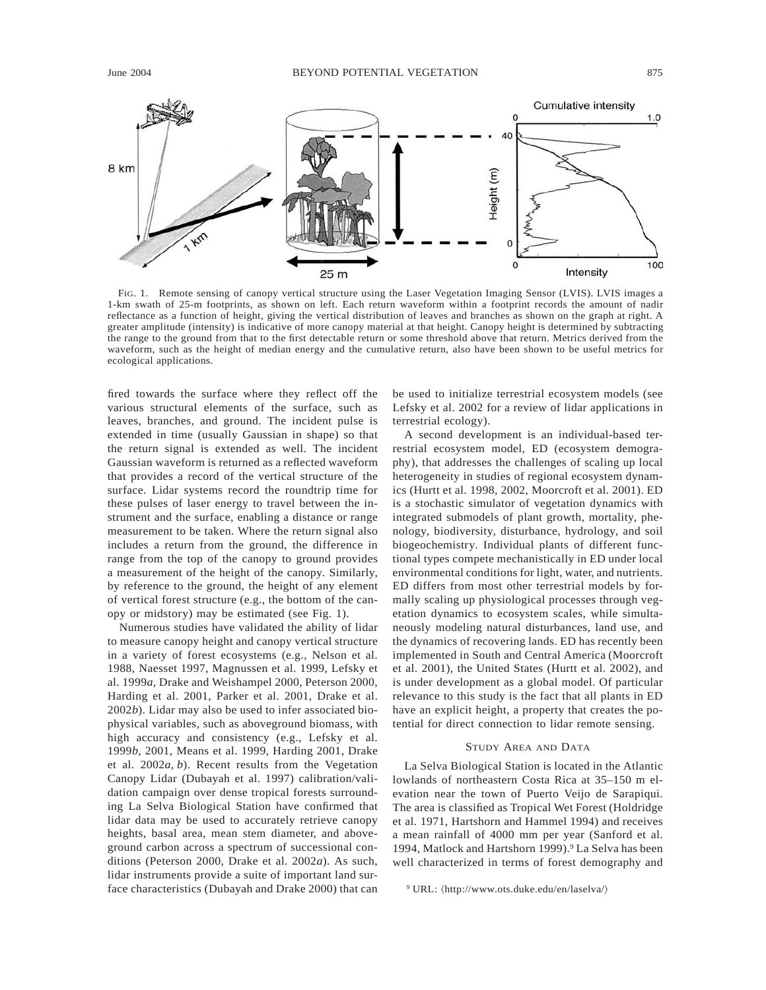

FIG. 1. Remote sensing of canopy vertical structure using the Laser Vegetation Imaging Sensor (LVIS). LVIS images a 1-km swath of 25-m footprints, as shown on left. Each return waveform within a footprint records the amount of nadir reflectance as a function of height, giving the vertical distribution of leaves and branches as shown on the graph at right. A greater amplitude (intensity) is indicative of more canopy material at that height. Canopy height is determined by subtracting the range to the ground from that to the first detectable return or some threshold above that return. Metrics derived from the waveform, such as the height of median energy and the cumulative return, also have been shown to be useful metrics for ecological applications.

fired towards the surface where they reflect off the various structural elements of the surface, such as leaves, branches, and ground. The incident pulse is extended in time (usually Gaussian in shape) so that the return signal is extended as well. The incident Gaussian waveform is returned as a reflected waveform that provides a record of the vertical structure of the surface. Lidar systems record the roundtrip time for these pulses of laser energy to travel between the instrument and the surface, enabling a distance or range measurement to be taken. Where the return signal also includes a return from the ground, the difference in range from the top of the canopy to ground provides a measurement of the height of the canopy. Similarly, by reference to the ground, the height of any element of vertical forest structure (e.g., the bottom of the canopy or midstory) may be estimated (see Fig. 1).

Numerous studies have validated the ability of lidar to measure canopy height and canopy vertical structure in a variety of forest ecosystems (e.g., Nelson et al. 1988, Naesset 1997, Magnussen et al. 1999, Lefsky et al. 1999*a*, Drake and Weishampel 2000, Peterson 2000, Harding et al. 2001, Parker et al. 2001, Drake et al. 2002*b*). Lidar may also be used to infer associated biophysical variables, such as aboveground biomass, with high accuracy and consistency (e.g., Lefsky et al. 1999*b*, 2001, Means et al. 1999, Harding 2001, Drake et al. 2002*a*, *b*). Recent results from the Vegetation Canopy Lidar (Dubayah et al. 1997) calibration/validation campaign over dense tropical forests surrounding La Selva Biological Station have confirmed that lidar data may be used to accurately retrieve canopy heights, basal area, mean stem diameter, and aboveground carbon across a spectrum of successional conditions (Peterson 2000, Drake et al. 2002*a*). As such, lidar instruments provide a suite of important land surface characteristics (Dubayah and Drake 2000) that can

be used to initialize terrestrial ecosystem models (see Lefsky et al. 2002 for a review of lidar applications in terrestrial ecology).

A second development is an individual-based terrestrial ecosystem model, ED (ecosystem demography), that addresses the challenges of scaling up local heterogeneity in studies of regional ecosystem dynamics (Hurtt et al. 1998, 2002, Moorcroft et al. 2001). ED is a stochastic simulator of vegetation dynamics with integrated submodels of plant growth, mortality, phenology, biodiversity, disturbance, hydrology, and soil biogeochemistry. Individual plants of different functional types compete mechanistically in ED under local environmental conditions for light, water, and nutrients. ED differs from most other terrestrial models by formally scaling up physiological processes through vegetation dynamics to ecosystem scales, while simultaneously modeling natural disturbances, land use, and the dynamics of recovering lands. ED has recently been implemented in South and Central America (Moorcroft et al. 2001), the United States (Hurtt et al. 2002), and is under development as a global model. Of particular relevance to this study is the fact that all plants in ED have an explicit height, a property that creates the potential for direct connection to lidar remote sensing.

# STUDY AREA AND DATA

La Selva Biological Station is located in the Atlantic lowlands of northeastern Costa Rica at 35–150 m elevation near the town of Puerto Veijo de Sarapiqui. The area is classified as Tropical Wet Forest (Holdridge et al. 1971, Hartshorn and Hammel 1994) and receives a mean rainfall of 4000 mm per year (Sanford et al. 1994, Matlock and Hartshorn 1999).<sup>9</sup> La Selva has been well characterized in terms of forest demography and

<sup>&</sup>lt;sup>9</sup> URL:  $\langle$ http://www.ots.duke.edu/en/laselva/ $\rangle$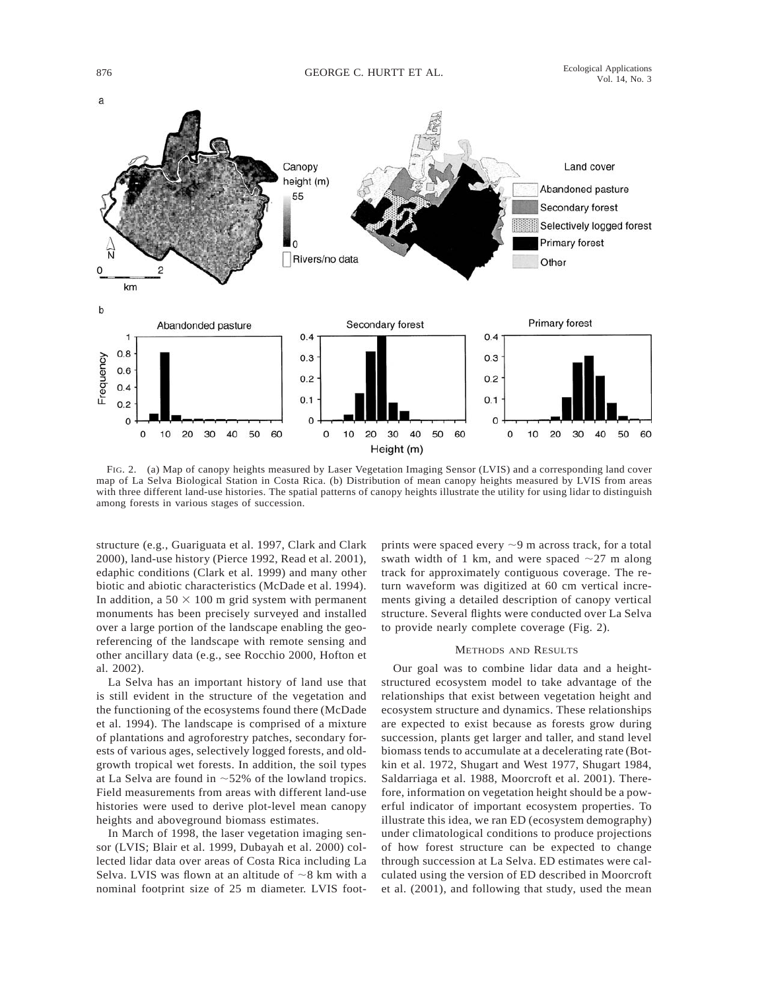

FIG. 2. (a) Map of canopy heights measured by Laser Vegetation Imaging Sensor (LVIS) and a corresponding land cover map of La Selva Biological Station in Costa Rica. (b) Distribution of mean canopy heights measured by LVIS from areas with three different land-use histories. The spatial patterns of canopy heights illustrate the utility for using lidar to distinguish among forests in various stages of succession.

structure (e.g., Guariguata et al. 1997, Clark and Clark 2000), land-use history (Pierce 1992, Read et al. 2001), edaphic conditions (Clark et al. 1999) and many other biotic and abiotic characteristics (McDade et al. 1994). In addition, a  $50 \times 100$  m grid system with permanent monuments has been precisely surveyed and installed over a large portion of the landscape enabling the georeferencing of the landscape with remote sensing and other ancillary data (e.g., see Rocchio 2000, Hofton et al. 2002).

La Selva has an important history of land use that is still evident in the structure of the vegetation and the functioning of the ecosystems found there (McDade et al. 1994). The landscape is comprised of a mixture of plantations and agroforestry patches, secondary forests of various ages, selectively logged forests, and oldgrowth tropical wet forests. In addition, the soil types at La Selva are found in  $\sim$  52% of the lowland tropics. Field measurements from areas with different land-use histories were used to derive plot-level mean canopy heights and aboveground biomass estimates.

In March of 1998, the laser vegetation imaging sensor (LVIS; Blair et al. 1999, Dubayah et al. 2000) collected lidar data over areas of Costa Rica including La Selva. LVIS was flown at an altitude of  $\sim$ 8 km with a nominal footprint size of 25 m diameter. LVIS foot-

prints were spaced every  $\sim$ 9 m across track, for a total swath width of 1 km, and were spaced  $\sim$ 27 m along track for approximately contiguous coverage. The return waveform was digitized at 60 cm vertical increments giving a detailed description of canopy vertical structure. Several flights were conducted over La Selva to provide nearly complete coverage (Fig. 2).

# METHODS AND RESULTS

Our goal was to combine lidar data and a heightstructured ecosystem model to take advantage of the relationships that exist between vegetation height and ecosystem structure and dynamics. These relationships are expected to exist because as forests grow during succession, plants get larger and taller, and stand level biomass tends to accumulate at a decelerating rate (Botkin et al. 1972, Shugart and West 1977, Shugart 1984, Saldarriaga et al. 1988, Moorcroft et al. 2001). Therefore, information on vegetation height should be a powerful indicator of important ecosystem properties. To illustrate this idea, we ran ED (ecosystem demography) under climatological conditions to produce projections of how forest structure can be expected to change through succession at La Selva. ED estimates were calculated using the version of ED described in Moorcroft et al. (2001), and following that study, used the mean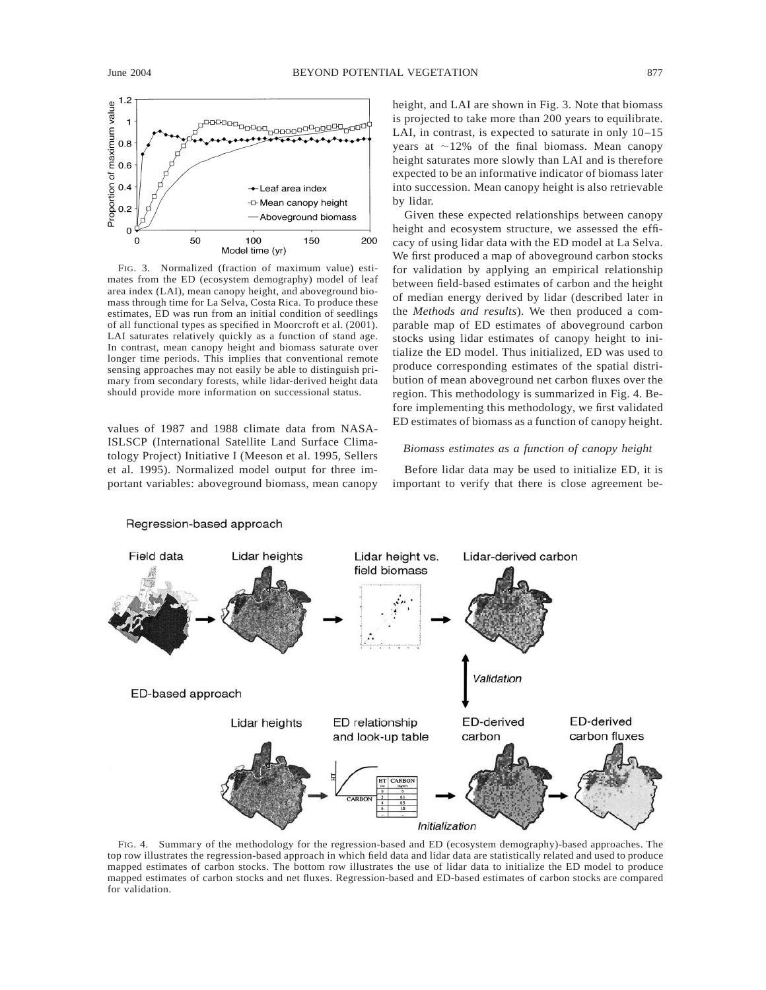

FIG. 3. Normalized (fraction of maximum value) estimates from the ED (ecosystem demography) model of leaf area index (LAI), mean canopy height, and aboveground biomass through time for La Selva, Costa Rica. To produce these estimates, ED was run from an initial condition of seedlings of all functional types as specified in Moorcroft et al. (2001). LAI saturates relatively quickly as a function of stand age. In contrast, mean canopy height and biomass saturate over longer time periods. This implies that conventional remote sensing approaches may not easily be able to distinguish primary from secondary forests, while lidar-derived height data should provide more information on successional status.

values of 1987 and 1988 climate data from NASA-ISLSCP (International Satellite Land Surface Climatology Project) Initiative I (Meeson et al. 1995, Sellers et al. 1995). Normalized model output for three important variables: aboveground biomass, mean canopy height, and LAI are shown in Fig. 3. Note that biomass is projected to take more than 200 years to equilibrate. LAI, in contrast, is expected to saturate in only 10–15 years at  $\sim$ 12% of the final biomass. Mean canopy height saturates more slowly than LAI and is therefore expected to be an informative indicator of biomass later into succession. Mean canopy height is also retrievable by lidar.

Given these expected relationships between canopy height and ecosystem structure, we assessed the efficacy of using lidar data with the ED model at La Selva. We first produced a map of aboveground carbon stocks for validation by applying an empirical relationship between field-based estimates of carbon and the height of median energy derived by lidar (described later in the *Methods and results*). We then produced a comparable map of ED estimates of aboveground carbon stocks using lidar estimates of canopy height to initialize the ED model. Thus initialized, ED was used to produce corresponding estimates of the spatial distribution of mean aboveground net carbon fluxes over the region. This methodology is summarized in Fig. 4. Before implementing this methodology, we first validated ED estimates of biomass as a function of canopy height.

# *Biomass estimates as a function of canopy height*

Before lidar data may be used to initialize ED, it is important to verify that there is close agreement be-



# Regression-based approach

FIG. 4. Summary of the methodology for the regression-based and ED (ecosystem demography)-based approaches. The top row illustrates the regression-based approach in which field data and lidar data are statistically related and used to produce mapped estimates of carbon stocks. The bottom row illustrates the use of lidar data to initialize the ED model to produce mapped estimates of carbon stocks and net fluxes. Regression-based and ED-based estimates of carbon stocks are compared for validation.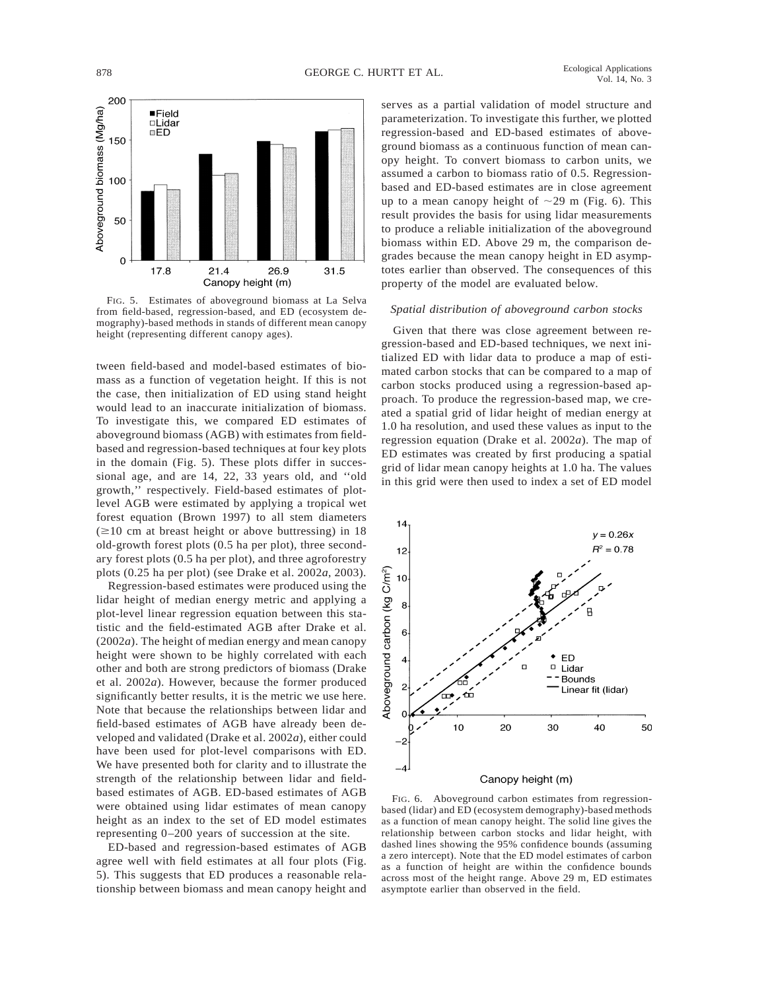

FIG. 5. Estimates of aboveground biomass at La Selva from field-based, regression-based, and ED (ecosystem demography)-based methods in stands of different mean canopy height (representing different canopy ages).

tween field-based and model-based estimates of biomass as a function of vegetation height. If this is not the case, then initialization of ED using stand height would lead to an inaccurate initialization of biomass. To investigate this, we compared ED estimates of aboveground biomass (AGB) with estimates from fieldbased and regression-based techniques at four key plots in the domain (Fig. 5). These plots differ in successional age, and are 14, 22, 33 years old, and ''old growth,'' respectively. Field-based estimates of plotlevel AGB were estimated by applying a tropical wet forest equation (Brown 1997) to all stem diameters  $(\geq 10$  cm at breast height or above buttressing) in 18 old-growth forest plots (0.5 ha per plot), three secondary forest plots (0.5 ha per plot), and three agroforestry plots (0.25 ha per plot) (see Drake et al. 2002*a*, 2003).

Regression-based estimates were produced using the lidar height of median energy metric and applying a plot-level linear regression equation between this statistic and the field-estimated AGB after Drake et al. (2002*a*). The height of median energy and mean canopy height were shown to be highly correlated with each other and both are strong predictors of biomass (Drake et al. 2002*a*). However, because the former produced significantly better results, it is the metric we use here. Note that because the relationships between lidar and field-based estimates of AGB have already been developed and validated (Drake et al. 2002*a*), either could have been used for plot-level comparisons with ED. We have presented both for clarity and to illustrate the strength of the relationship between lidar and fieldbased estimates of AGB. ED-based estimates of AGB were obtained using lidar estimates of mean canopy height as an index to the set of ED model estimates representing 0–200 years of succession at the site.

ED-based and regression-based estimates of AGB agree well with field estimates at all four plots (Fig. 5). This suggests that ED produces a reasonable relationship between biomass and mean canopy height and

serves as a partial validation of model structure and parameterization. To investigate this further, we plotted regression-based and ED-based estimates of aboveground biomass as a continuous function of mean canopy height. To convert biomass to carbon units, we assumed a carbon to biomass ratio of 0.5. Regressionbased and ED-based estimates are in close agreement up to a mean canopy height of  $\sim$ 29 m (Fig. 6). This result provides the basis for using lidar measurements to produce a reliable initialization of the aboveground biomass within ED. Above 29 m, the comparison degrades because the mean canopy height in ED asymptotes earlier than observed. The consequences of this property of the model are evaluated below.

#### *Spatial distribution of aboveground carbon stocks*

Given that there was close agreement between regression-based and ED-based techniques, we next initialized ED with lidar data to produce a map of estimated carbon stocks that can be compared to a map of carbon stocks produced using a regression-based approach. To produce the regression-based map, we created a spatial grid of lidar height of median energy at 1.0 ha resolution, and used these values as input to the regression equation (Drake et al. 2002*a*). The map of ED estimates was created by first producing a spatial grid of lidar mean canopy heights at 1.0 ha. The values in this grid were then used to index a set of ED model



FIG. 6. Aboveground carbon estimates from regressionbased (lidar) and ED (ecosystem demography)-based methods as a function of mean canopy height. The solid line gives the relationship between carbon stocks and lidar height, with dashed lines showing the 95% confidence bounds (assuming a zero intercept). Note that the ED model estimates of carbon as a function of height are within the confidence bounds across most of the height range. Above 29 m, ED estimates asymptote earlier than observed in the field.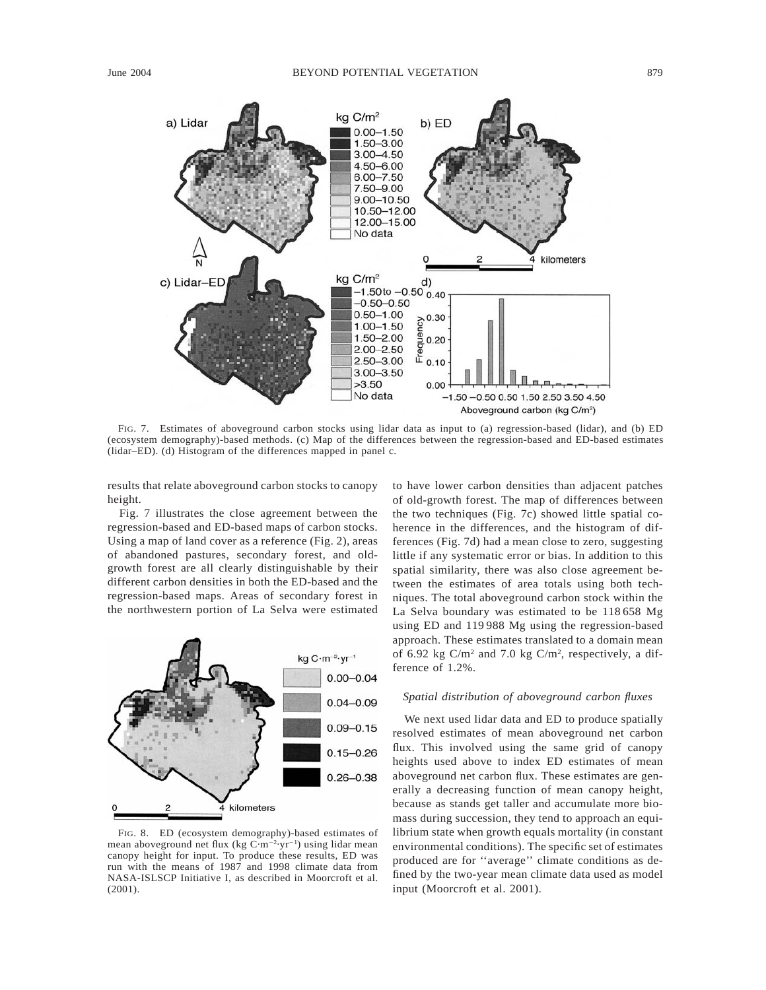

FIG. 7. Estimates of aboveground carbon stocks using lidar data as input to (a) regression-based (lidar), and (b) ED (ecosystem demography)-based methods. (c) Map of the differences between the regression-based and ED-based estimates (lidar–ED). (d) Histogram of the differences mapped in panel c.

results that relate aboveground carbon stocks to canopy height.

Fig. 7 illustrates the close agreement between the regression-based and ED-based maps of carbon stocks. Using a map of land cover as a reference (Fig. 2), areas of abandoned pastures, secondary forest, and oldgrowth forest are all clearly distinguishable by their different carbon densities in both the ED-based and the regression-based maps. Areas of secondary forest in the northwestern portion of La Selva were estimated



FIG. 8. ED (ecosystem demography)-based estimates of mean aboveground net flux (kg  $C \cdot m^{-2} \cdot yr^{-1}$ ) using lidar mean canopy height for input. To produce these results, ED was run with the means of 1987 and 1998 climate data from NASA-ISLSCP Initiative I, as described in Moorcroft et al. (2001).

to have lower carbon densities than adjacent patches of old-growth forest. The map of differences between the two techniques (Fig. 7c) showed little spatial coherence in the differences, and the histogram of differences (Fig. 7d) had a mean close to zero, suggesting little if any systematic error or bias. In addition to this spatial similarity, there was also close agreement between the estimates of area totals using both techniques. The total aboveground carbon stock within the La Selva boundary was estimated to be 118 658 Mg using ED and 119 988 Mg using the regression-based approach. These estimates translated to a domain mean of 6.92 kg  $C/m^2$  and 7.0 kg  $C/m^2$ , respectively, a difference of 1.2%.

# *Spatial distribution of aboveground carbon fluxes*

We next used lidar data and ED to produce spatially resolved estimates of mean aboveground net carbon flux. This involved using the same grid of canopy heights used above to index ED estimates of mean aboveground net carbon flux. These estimates are generally a decreasing function of mean canopy height, because as stands get taller and accumulate more biomass during succession, they tend to approach an equilibrium state when growth equals mortality (in constant environmental conditions). The specific set of estimates produced are for ''average'' climate conditions as defined by the two-year mean climate data used as model input (Moorcroft et al. 2001).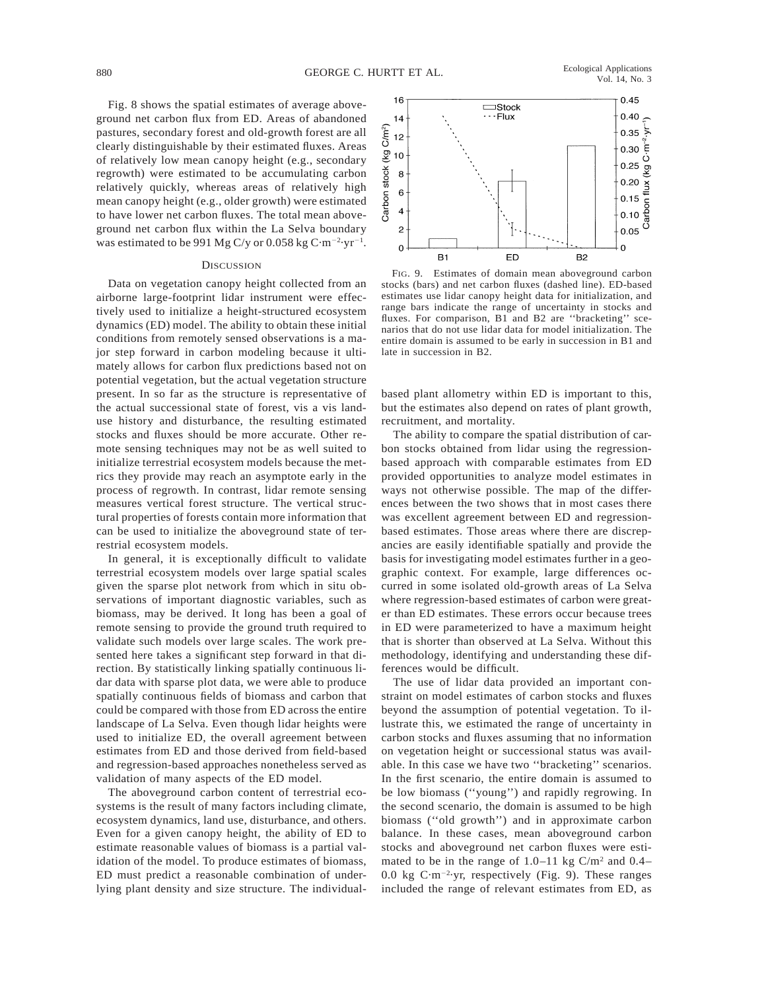Vol. 14, No. 3

Fig. 8 shows the spatial estimates of average aboveground net carbon flux from ED. Areas of abandoned pastures, secondary forest and old-growth forest are all clearly distinguishable by their estimated fluxes. Areas of relatively low mean canopy height (e.g., secondary regrowth) were estimated to be accumulating carbon relatively quickly, whereas areas of relatively high mean canopy height (e.g., older growth) were estimated to have lower net carbon fluxes. The total mean aboveground net carbon flux within the La Selva boundary was estimated to be 991 Mg C/y or  $0.058$  kg C·m<sup>-2</sup>·yr<sup>-1</sup>.

#### **DISCUSSION**

Data on vegetation canopy height collected from an airborne large-footprint lidar instrument were effectively used to initialize a height-structured ecosystem dynamics (ED) model. The ability to obtain these initial conditions from remotely sensed observations is a major step forward in carbon modeling because it ultimately allows for carbon flux predictions based not on potential vegetation, but the actual vegetation structure present. In so far as the structure is representative of the actual successional state of forest, vis a vis landuse history and disturbance, the resulting estimated stocks and fluxes should be more accurate. Other remote sensing techniques may not be as well suited to initialize terrestrial ecosystem models because the metrics they provide may reach an asymptote early in the process of regrowth. In contrast, lidar remote sensing measures vertical forest structure. The vertical structural properties of forests contain more information that can be used to initialize the aboveground state of terrestrial ecosystem models.

In general, it is exceptionally difficult to validate terrestrial ecosystem models over large spatial scales given the sparse plot network from which in situ observations of important diagnostic variables, such as biomass, may be derived. It long has been a goal of remote sensing to provide the ground truth required to validate such models over large scales. The work presented here takes a significant step forward in that direction. By statistically linking spatially continuous lidar data with sparse plot data, we were able to produce spatially continuous fields of biomass and carbon that could be compared with those from ED across the entire landscape of La Selva. Even though lidar heights were used to initialize ED, the overall agreement between estimates from ED and those derived from field-based and regression-based approaches nonetheless served as validation of many aspects of the ED model.

The aboveground carbon content of terrestrial ecosystems is the result of many factors including climate, ecosystem dynamics, land use, disturbance, and others. Even for a given canopy height, the ability of ED to estimate reasonable values of biomass is a partial validation of the model. To produce estimates of biomass, ED must predict a reasonable combination of underlying plant density and size structure. The individual-



FIG. 9. Estimates of domain mean aboveground carbon stocks (bars) and net carbon fluxes (dashed line). ED-based estimates use lidar canopy height data for initialization, and range bars indicate the range of uncertainty in stocks and fluxes. For comparison, B1 and B2 are ''bracketing'' scenarios that do not use lidar data for model initialization. The entire domain is assumed to be early in succession in B1 and late in succession in B2.

based plant allometry within ED is important to this, but the estimates also depend on rates of plant growth, recruitment, and mortality.

The ability to compare the spatial distribution of carbon stocks obtained from lidar using the regressionbased approach with comparable estimates from ED provided opportunities to analyze model estimates in ways not otherwise possible. The map of the differences between the two shows that in most cases there was excellent agreement between ED and regressionbased estimates. Those areas where there are discrepancies are easily identifiable spatially and provide the basis for investigating model estimates further in a geographic context. For example, large differences occurred in some isolated old-growth areas of La Selva where regression-based estimates of carbon were greater than ED estimates. These errors occur because trees in ED were parameterized to have a maximum height that is shorter than observed at La Selva. Without this methodology, identifying and understanding these differences would be difficult.

The use of lidar data provided an important constraint on model estimates of carbon stocks and fluxes beyond the assumption of potential vegetation. To illustrate this, we estimated the range of uncertainty in carbon stocks and fluxes assuming that no information on vegetation height or successional status was available. In this case we have two ''bracketing'' scenarios. In the first scenario, the entire domain is assumed to be low biomass (''young'') and rapidly regrowing. In the second scenario, the domain is assumed to be high biomass (''old growth'') and in approximate carbon balance. In these cases, mean aboveground carbon stocks and aboveground net carbon fluxes were estimated to be in the range of  $1.0-11$  kg C/m<sup>2</sup> and  $0.4-$ 0.0 kg  $C \cdot m^{-2}$ ·yr, respectively (Fig. 9). These ranges included the range of relevant estimates from ED, as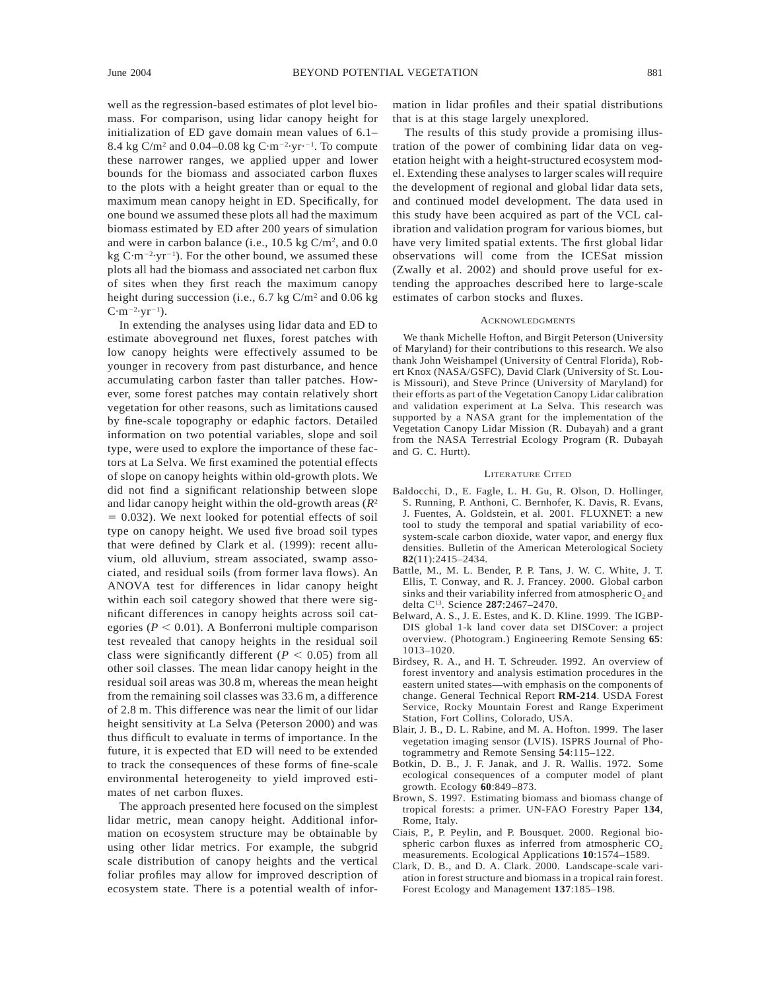well as the regression-based estimates of plot level biomass. For comparison, using lidar canopy height for initialization of ED gave domain mean values of 6.1– 8.4 kg C/m<sup>2</sup> and 0.04–0.08 kg C·m<sup>-2</sup>·yr·<sup>-1</sup>. To compute these narrower ranges, we applied upper and lower bounds for the biomass and associated carbon fluxes to the plots with a height greater than or equal to the maximum mean canopy height in ED. Specifically, for one bound we assumed these plots all had the maximum biomass estimated by ED after 200 years of simulation and were in carbon balance (i.e., 10.5 kg C/m<sup>2</sup>, and 0.0 kg  $C \cdot m^{-2} \cdot yr^{-1}$ ). For the other bound, we assumed these plots all had the biomass and associated net carbon flux of sites when they first reach the maximum canopy height during succession (i.e.,  $6.7 \text{ kg C/m}^2$  and  $0.06 \text{ kg}$  $C·m^{-2}·yr^{-1}$ ).

In extending the analyses using lidar data and ED to estimate aboveground net fluxes, forest patches with low canopy heights were effectively assumed to be younger in recovery from past disturbance, and hence accumulating carbon faster than taller patches. However, some forest patches may contain relatively short vegetation for other reasons, such as limitations caused by fine-scale topography or edaphic factors. Detailed information on two potential variables, slope and soil type, were used to explore the importance of these factors at La Selva. We first examined the potential effects of slope on canopy heights within old-growth plots. We did not find a significant relationship between slope and lidar canopy height within the old-growth areas (*R*<sup>2</sup>  $= 0.032$ ). We next looked for potential effects of soil type on canopy height. We used five broad soil types that were defined by Clark et al. (1999): recent alluvium, old alluvium, stream associated, swamp associated, and residual soils (from former lava flows). An ANOVA test for differences in lidar canopy height within each soil category showed that there were significant differences in canopy heights across soil categories ( $P < 0.01$ ). A Bonferroni multiple comparison test revealed that canopy heights in the residual soil class were significantly different ( $P < 0.05$ ) from all other soil classes. The mean lidar canopy height in the residual soil areas was 30.8 m, whereas the mean height from the remaining soil classes was 33.6 m, a difference of 2.8 m. This difference was near the limit of our lidar height sensitivity at La Selva (Peterson 2000) and was thus difficult to evaluate in terms of importance. In the future, it is expected that ED will need to be extended to track the consequences of these forms of fine-scale environmental heterogeneity to yield improved estimates of net carbon fluxes.

The approach presented here focused on the simplest lidar metric, mean canopy height. Additional information on ecosystem structure may be obtainable by using other lidar metrics. For example, the subgrid scale distribution of canopy heights and the vertical foliar profiles may allow for improved description of ecosystem state. There is a potential wealth of information in lidar profiles and their spatial distributions that is at this stage largely unexplored.

The results of this study provide a promising illustration of the power of combining lidar data on vegetation height with a height-structured ecosystem model. Extending these analyses to larger scales will require the development of regional and global lidar data sets, and continued model development. The data used in this study have been acquired as part of the VCL calibration and validation program for various biomes, but have very limited spatial extents. The first global lidar observations will come from the ICESat mission (Zwally et al. 2002) and should prove useful for extending the approaches described here to large-scale estimates of carbon stocks and fluxes.

#### **ACKNOWLEDGMENTS**

We thank Michelle Hofton, and Birgit Peterson (University of Maryland) for their contributions to this research. We also thank John Weishampel (University of Central Florida), Robert Knox (NASA/GSFC), David Clark (University of St. Louis Missouri), and Steve Prince (University of Maryland) for their efforts as part of the Vegetation Canopy Lidar calibration and validation experiment at La Selva. This research was supported by a NASA grant for the implementation of the Vegetation Canopy Lidar Mission (R. Dubayah) and a grant from the NASA Terrestrial Ecology Program (R. Dubayah and G. C. Hurtt).

#### LITERATURE CITED

- Baldocchi, D., E. Fagle, L. H. Gu, R. Olson, D. Hollinger, S. Running, P. Anthoni, C. Bernhofer, K. Davis, R. Evans, J. Fuentes, A. Goldstein, et al. 2001. FLUXNET: a new tool to study the temporal and spatial variability of ecosystem-scale carbon dioxide, water vapor, and energy flux densities. Bulletin of the American Meterological Society **82**(11):2415–2434.
- Battle, M., M. L. Bender, P. P. Tans, J. W. C. White, J. T. Ellis, T. Conway, and R. J. Francey. 2000. Global carbon sinks and their variability inferred from atmospheric  $O_2$  and delta C13. Science **287**:2467–2470.
- Belward, A. S., J. E. Estes, and K. D. Kline. 1999. The IGBP-DIS global 1-k land cover data set DISCover: a project overview. (Photogram.) Engineering Remote Sensing **65**: 1013–1020.
- Birdsey, R. A., and H. T. Schreuder. 1992. An overview of forest inventory and analysis estimation procedures in the eastern united states—with emphasis on the components of change. General Technical Report **RM-214**. USDA Forest Service, Rocky Mountain Forest and Range Experiment Station, Fort Collins, Colorado, USA.
- Blair, J. B., D. L. Rabine, and M. A. Hofton. 1999. The laser vegetation imaging sensor (LVIS). ISPRS Journal of Photogrammetry and Remote Sensing **54**:115–122.
- Botkin, D. B., J. F. Janak, and J. R. Wallis. 1972. Some ecological consequences of a computer model of plant growth. Ecology **60**:849–873.
- Brown, S. 1997. Estimating biomass and biomass change of tropical forests: a primer. UN-FAO Forestry Paper **134**, Rome, Italy.
- Ciais, P., P. Peylin, and P. Bousquet. 2000. Regional biospheric carbon fluxes as inferred from atmospheric  $CO<sub>2</sub>$ measurements. Ecological Applications **10**:1574–1589.
- Clark, D. B., and D. A. Clark. 2000. Landscape-scale variation in forest structure and biomass in a tropical rain forest. Forest Ecology and Management **137**:185–198.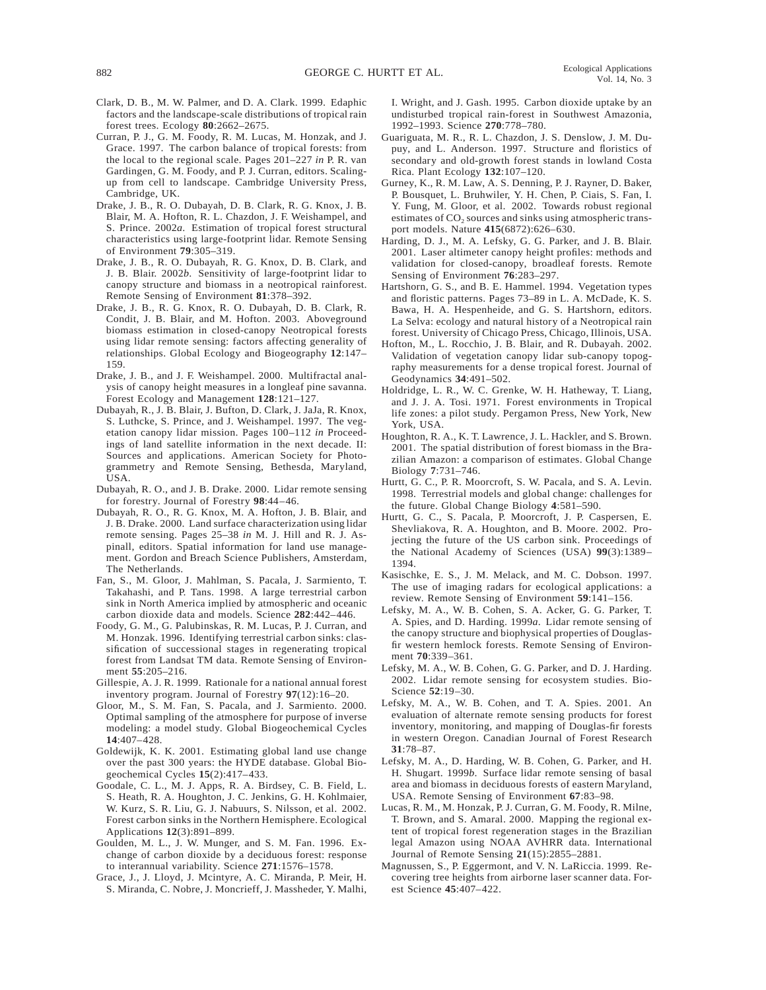- Clark, D. B., M. W. Palmer, and D. A. Clark. 1999. Edaphic factors and the landscape-scale distributions of tropical rain forest trees. Ecology **80**:2662–2675.
- Curran, P. J., G. M. Foody, R. M. Lucas, M. Honzak, and J. Grace. 1997. The carbon balance of tropical forests: from the local to the regional scale. Pages 201–227 *in* P. R. van Gardingen, G. M. Foody, and P. J. Curran, editors. Scalingup from cell to landscape. Cambridge University Press, Cambridge, UK.
- Drake, J. B., R. O. Dubayah, D. B. Clark, R. G. Knox, J. B. Blair, M. A. Hofton, R. L. Chazdon, J. F. Weishampel, and S. Prince. 2002*a*. Estimation of tropical forest structural characteristics using large-footprint lidar. Remote Sensing of Environment **79**:305–319.
- Drake, J. B., R. O. Dubayah, R. G. Knox, D. B. Clark, and J. B. Blair. 2002*b*. Sensitivity of large-footprint lidar to canopy structure and biomass in a neotropical rainforest. Remote Sensing of Environment **81**:378–392.
- Drake, J. B., R. G. Knox, R. O. Dubayah, D. B. Clark, R. Condit, J. B. Blair, and M. Hofton. 2003. Aboveground biomass estimation in closed-canopy Neotropical forests using lidar remote sensing: factors affecting generality of relationships. Global Ecology and Biogeography **12**:147– 159.
- Drake, J. B., and J. F. Weishampel. 2000. Multifractal analysis of canopy height measures in a longleaf pine savanna. Forest Ecology and Management **128**:121–127.
- Dubayah, R., J. B. Blair, J. Bufton, D. Clark, J. JaJa, R. Knox, S. Luthcke, S. Prince, and J. Weishampel. 1997. The vegetation canopy lidar mission. Pages 100–112 *in* Proceedings of land satellite information in the next decade. II: Sources and applications. American Society for Photogrammetry and Remote Sensing, Bethesda, Maryland, USA.
- Dubayah, R. O., and J. B. Drake. 2000. Lidar remote sensing for forestry. Journal of Forestry **98**:44–46.
- Dubayah, R. O., R. G. Knox, M. A. Hofton, J. B. Blair, and J. B. Drake. 2000. Land surface characterization using lidar remote sensing. Pages 25–38 *in* M. J. Hill and R. J. Aspinall, editors. Spatial information for land use management. Gordon and Breach Science Publishers, Amsterdam, The Netherlands.
- Fan, S., M. Gloor, J. Mahlman, S. Pacala, J. Sarmiento, T. Takahashi, and P. Tans. 1998. A large terrestrial carbon sink in North America implied by atmospheric and oceanic carbon dioxide data and models. Science **282**:442–446.
- Foody, G. M., G. Palubinskas, R. M. Lucas, P. J. Curran, and M. Honzak. 1996. Identifying terrestrial carbon sinks: classification of successional stages in regenerating tropical forest from Landsat TM data. Remote Sensing of Environment **55**:205–216.
- Gillespie, A. J. R. 1999. Rationale for a national annual forest inventory program. Journal of Forestry **97**(12):16–20.
- Gloor, M., S. M. Fan, S. Pacala, and J. Sarmiento. 2000. Optimal sampling of the atmosphere for purpose of inverse modeling: a model study. Global Biogeochemical Cycles **14**:407–428.
- Goldewijk, K. K. 2001. Estimating global land use change over the past 300 years: the HYDE database. Global Biogeochemical Cycles **15**(2):417–433.
- Goodale, C. L., M. J. Apps, R. A. Birdsey, C. B. Field, L. S. Heath, R. A. Houghton, J. C. Jenkins, G. H. Kohlmaier, W. Kurz, S. R. Liu, G. J. Nabuurs, S. Nilsson, et al. 2002. Forest carbon sinks in the Northern Hemisphere. Ecological Applications **12**(3):891–899.
- Goulden, M. L., J. W. Munger, and S. M. Fan. 1996. Exchange of carbon dioxide by a deciduous forest: response to interannual variability. Science **271**:1576–1578.
- Grace, J., J. Lloyd, J. Mcintyre, A. C. Miranda, P. Meir, H. S. Miranda, C. Nobre, J. Moncrieff, J. Massheder, Y. Malhi,

I. Wright, and J. Gash. 1995. Carbon dioxide uptake by an undisturbed tropical rain-forest in Southwest Amazonia, 1992–1993. Science **270**:778–780.

- Guariguata, M. R., R. L. Chazdon, J. S. Denslow, J. M. Dupuy, and L. Anderson. 1997. Structure and floristics of secondary and old-growth forest stands in lowland Costa Rica. Plant Ecology **132**:107–120.
- Gurney, K., R. M. Law, A. S. Denning, P. J. Rayner, D. Baker, P. Bousquet, L. Bruhwiler, Y. H. Chen, P. Ciais, S. Fan, I. Y. Fung, M. Gloor, et al. 2002. Towards robust regional estimates of CO<sub>2</sub> sources and sinks using atmospheric transport models. Nature **415**(6872):626–630.
- Harding, D. J., M. A. Lefsky, G. G. Parker, and J. B. Blair. 2001. Laser altimeter canopy height profiles: methods and validation for closed-canopy, broadleaf forests. Remote Sensing of Environment **76**:283–297.
- Hartshorn, G. S., and B. E. Hammel. 1994. Vegetation types and floristic patterns. Pages 73–89 in L. A. McDade, K. S. Bawa, H. A. Hespenheide, and G. S. Hartshorn, editors. La Selva: ecology and natural history of a Neotropical rain forest. University of Chicago Press, Chicago, Illinois, USA.
- Hofton, M., L. Rocchio, J. B. Blair, and R. Dubayah. 2002. Validation of vegetation canopy lidar sub-canopy topography measurements for a dense tropical forest. Journal of Geodynamics **34**:491–502.
- Holdridge, L. R., W. C. Grenke, W. H. Hatheway, T. Liang, and J. J. A. Tosi. 1971. Forest environments in Tropical life zones: a pilot study. Pergamon Press, New York, New York, USA.
- Houghton, R. A., K. T. Lawrence, J. L. Hackler, and S. Brown. 2001. The spatial distribution of forest biomass in the Brazilian Amazon: a comparison of estimates. Global Change Biology **7**:731–746.
- Hurtt, G. C., P. R. Moorcroft, S. W. Pacala, and S. A. Levin. 1998. Terrestrial models and global change: challenges for the future. Global Change Biology **4**:581–590.
- Hurtt, G. C., S. Pacala, P. Moorcroft, J. P. Caspersen, E. Shevliakova, R. A. Houghton, and B. Moore. 2002. Projecting the future of the US carbon sink. Proceedings of the National Academy of Sciences (USA) **99**(3):1389– 1394.
- Kasischke, E. S., J. M. Melack, and M. C. Dobson. 1997. The use of imaging radars for ecological applications: a review. Remote Sensing of Environment **59**:141–156.
- Lefsky, M. A., W. B. Cohen, S. A. Acker, G. G. Parker, T. A. Spies, and D. Harding. 1999*a*. Lidar remote sensing of the canopy structure and biophysical properties of Douglasfir western hemlock forests. Remote Sensing of Environment **70**:339–361.
- Lefsky, M. A., W. B. Cohen, G. G. Parker, and D. J. Harding. 2002. Lidar remote sensing for ecosystem studies. Bio-Science **52**:19–30.
- Lefsky, M. A., W. B. Cohen, and T. A. Spies. 2001. An evaluation of alternate remote sensing products for forest inventory, monitoring, and mapping of Douglas-fir forests in western Oregon. Canadian Journal of Forest Research **31**:78–87.
- Lefsky, M. A., D. Harding, W. B. Cohen, G. Parker, and H. H. Shugart. 1999*b*. Surface lidar remote sensing of basal area and biomass in deciduous forests of eastern Maryland, USA. Remote Sensing of Environment **67**:83–98.
- Lucas, R. M., M. Honzak, P. J. Curran, G. M. Foody, R. Milne, T. Brown, and S. Amaral. 2000. Mapping the regional extent of tropical forest regeneration stages in the Brazilian legal Amazon using NOAA AVHRR data. International Journal of Remote Sensing **21**(15):2855–2881.
- Magnussen, S., P. Eggermont, and V. N. LaRiccia. 1999. Recovering tree heights from airborne laser scanner data. Forest Science **45**:407–422.